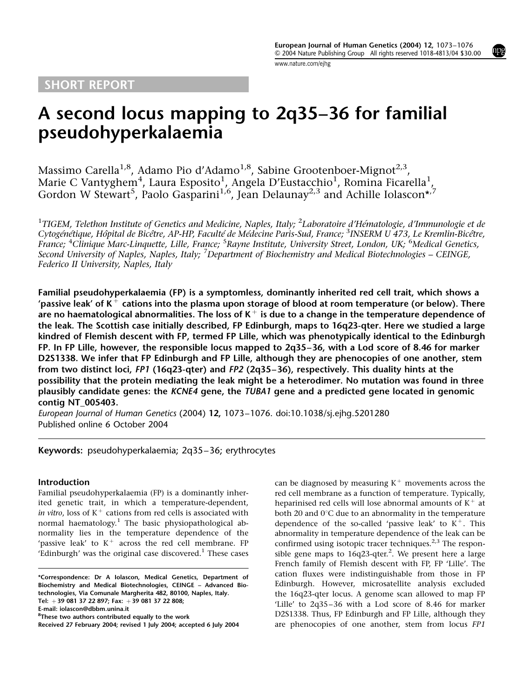## SHORT REPORT

www.nature.com/ejhg

# A second locus mapping to 2q35–36 for familial pseudohyperkalaemia

Massimo Carella<sup>1,8</sup>, Adamo Pio d'Adamo<sup>1,8</sup>, Sabine Grootenboer-Mignot<sup>2,3</sup>, Marie C Vantyghem $^4$ , Laura Esposito $^1$ , Angela D'Eustacchio $^1$ , Romina Ficarella $^1$ , Gordon W Stewart<sup>5</sup>, Paolo Gasparini<sup>1,6</sup>, Jean Delaunay<sup>2,3</sup> and Achille Iolascon\*<sup>,7</sup>

 $^1$ TIGEM, Telethon Institute of Genetics and Medicine, Naples, Italy;  $^2$ Laboratoire d'Hématologie, d'Immunologie et de Cytogénétique, Hôpital de Bicêtre, AP-HP, Faculté de Médecine Paris-Sud, France; <sup>3</sup>INSERM U 473, Le Kremlin-Bicêtre, France; <sup>4</sup>Clinique Marc-Linquette, Lille, France; <sup>5</sup>Rayne Institute, University Street, London, UK; <sup>6</sup>Medical Genetics, Second University of Naples, Naples, Italy; <sup>7</sup>Department of Biochemistry and Medical Biotechnologies – CEINGE, Federico II University, Naples, Italy

Familial pseudohyperkalaemia (FP) is a symptomless, dominantly inherited red cell trait, which shows a 'passive leak' of K<sup>+</sup> cations into the plasma upon storage of blood at room temperature (or below). There are no haematological abnormalities. The loss of  $K^+$  is due to a change in the temperature dependence of the leak. The Scottish case initially described, FP Edinburgh, maps to 16q23-qter. Here we studied a large kindred of Flemish descent with FP, termed FP Lille, which was phenotypically identical to the Edinburgh FP. In FP Lille, however, the responsible locus mapped to 2q35–36, with a Lod score of 8.46 for marker D2S1338. We infer that FP Edinburgh and FP Lille, although they are phenocopies of one another, stem from two distinct loci, FP1 (16q23-qter) and FP2 (2q35–36), respectively. This duality hints at the possibility that the protein mediating the leak might be a heterodimer. No mutation was found in three plausibly candidate genes: the KCNE4 gene, the TUBA1 gene and a predicted gene located in genomic contig NT\_005403.

European Journal of Human Genetics (2004) 12, 1073–1076. doi:10.1038/sj.ejhg.5201280 Published online 6 October 2004

## Keywords: pseudohyperkalaemia; 2q35–36; erythrocytes

#### Introduction

Familial pseudohyperkalaemia (FP) is a dominantly inherited genetic trait, in which a temperature-dependent, in vitro, loss of  $K^+$  cations from red cells is associated with normal haematology.<sup>1</sup> The basic physiopathological abnormality lies in the temperature dependence of the 'passive leak' to  $K^+$  across the red cell membrane. FP 'Edinburgh' was the original case discovered. $<sup>1</sup>$  These cases</sup>

E-mail: iolascon@dbbm.unina.it

can be diagnosed by measuring  $K^+$  movements across the red cell membrane as a function of temperature. Typically, heparinised red cells will lose abnormal amounts of  $K^+$  at both 20 and  $0^{\circ}$ C due to an abnormality in the temperature dependence of the so-called 'passive leak' to  $K^+$ . This abnormality in temperature dependence of the leak can be confirmed using isotopic tracer techniques.<sup>2,3</sup> The responsible gene maps to 16q23-qter.<sup>2</sup>. We present here a large French family of Flemish descent with FP, FP 'Lille'. The cation fluxes were indistinguishable from those in FP Edinburgh. However, microsatellite analysis excluded the 16q23-qter locus. A genome scan allowed to map FP 'Lille' to 2q35–36 with a Lod score of 8.46 for marker D2S1338. Thus, FP Edinburgh and FP Lille, although they Received 27 February 2004; revised 1 July 2004; accepted 6 July 2004 are phenocopies of one another, stem from locus FP1



<sup>\*</sup>Correspondence: Dr A Iolascon, Medical Genetics, Department of Biochemistry and Medical Biotechnologies, CEINGE – Advanced Biotechnologies, Via Comunale Margherita 482, 80100, Naples, Italy. Tel: +39 081 37 22 897; Fax: +39 081 37 22 808;

 ${}^{8}$ These two authors contributed equally to the work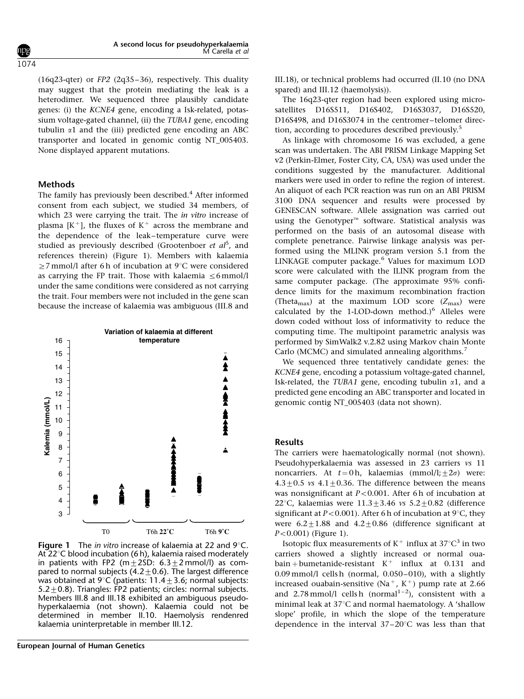(16q23-qter) or FP2 (2q35–36), respectively. This duality may suggest that the protein mediating the leak is a heterodimer. We sequenced three plausibly candidate genes: (i) the KCNE4 gene, encoding a Isk-related, potassium voltage-gated channel, (ii) the TUBA1 gene, encoding tubulin  $\alpha$ 1 and the (iii) predicted gene encoding an ABC transporter and located in genomic contig NT\_005403. None displayed apparent mutations.

### Methods

The family has previously been described.<sup>4</sup> After informed consent from each subject, we studied 34 members, of which 23 were carrying the trait. The in vitro increase of plasma  $[K^+]$ , the fluxes of  $K^+$  across the membrane and the dependence of the leak–temperature curve were studied as previously described (Grootenboer et al<sup>5</sup>, and references therein) (Figure 1). Members with kalaemia  $\geq$ 7 mmol/l after 6 h of incubation at 9°C were considered as carrying the FP trait. Those with kalaemia  $\leq 6$  mmol/l under the same conditions were considered as not carrying the trait. Four members were not included in the gene scan because the increase of kalaemia was ambiguous (III.8 and



**Figure 1** The in vitro increase of kalaemia at 22 and  $9^{\circ}$ C. At  $22^{\circ}$ C blood incubation (6 h), kalaemia raised moderately in patients with FP2 (m $\pm$ 2SD: 6.3 $\pm$ 2 mmol/l) as compared to normal subjects (4.2  $\pm$  0.6). The largest difference was obtained at  $9^{\circ}C$  (patients: 11.4 + 3.6; normal subjects:  $5.2+0.8$ ). Triangles: FP2 patients; circles: normal subjects. Members III.8 and III.18 exhibited an ambiguous pseudohyperkalaemia (not shown). Kalaemia could not be determined in member II.10. Haemolysis rendenred kalaemia uninterpretable in member III.12.

III.18), or technical problems had occurred (II.10 (no DNA spared) and III.12 (haemolysis)).

The 16q23-qter region had been explored using microsatellites D16S511, D16S402, D16S3037, D16S520, D16S498, and D16S3074 in the centromer–telomer direction, according to procedures described previously.<sup>5</sup>

As linkage with chromosome 16 was excluded, a gene scan was undertaken. The ABI PRISM Linkage Mapping Set v2 (Perkin-Elmer, Foster City, CA, USA) was used under the conditions suggested by the manufacturer. Additional markers were used in order to refine the region of interest. An aliquot of each PCR reaction was run on an ABI PRISM 3100 DNA sequencer and results were processed by GENESCAN software. Allele assignation was carried out using the Genotyper<sup> $M$ </sup> software. Statistical analysis was performed on the basis of an autosomal disease with complete penetrance. Pairwise linkage analysis was performed using the MLINK program version 5.1 from the LINKAGE computer package.<sup>6</sup> Values for maximum LOD score were calculated with the ILINK program from the same computer package. (The approximate 95% confidence limits for the maximum recombination fraction (Theta<sub>max</sub>) at the maximum LOD score  $(Z_{\text{max}})$  were calculated by the 1-LOD-down method.) $^6$  Alleles were down coded without loss of informativity to reduce the computing time. The multipoint parametric analysis was performed by SimWalk2 v.2.82 using Markov chain Monte Carlo (MCMC) and simulated annealing algorithms.<sup>7</sup>

We sequenced three tentatively candidate genes: the KCNE4 gene, encoding a potassium voltage-gated channel, Isk-related, the TUBA1 gene, encoding tubulin  $\alpha$ 1, and a predicted gene encoding an ABC transporter and located in genomic contig NT\_005403 (data not shown).

#### Results

The carriers were haematologically normal (not shown). Pseudohyperkalaemia was assessed in 23 carriers vs 11 noncarriers. At  $t = 0$ h, kalaemias (mmol/l; $\pm 2\sigma$ ) were:  $4.3\pm0.5$  vs  $4.1\pm0.36$ . The difference between the means was nonsignificant at  $P < 0.001$ . After 6 h of incubation at 22°C, kalaemias were  $11.3 \pm 3.46$  vs  $5.2 \pm 0.82$  (difference significant at  $P<0.001$ ). After 6 h of incubation at 9°C, they were  $6.2 \pm 1.88$  and  $4.2 \pm 0.86$  (difference significant at  $P < 0.001$ ) (Figure 1).

Isotopic flux measurements of  $K^+$  influx at 37°C<sup>3</sup> in two carriers showed a slightly increased or normal ouabain + bumetanide-resistant  $K^+$  influx at 0.131 and 0.09 mmol/l cells h (normal, 0.050–010), with a slightly increased ouabain-sensitive (Na<sup>+</sup>, K<sup>+</sup>) pump rate at 2.66 and 2.78 mmol/l cells h (normal<sup>1-2</sup>), consistent with a minimal leak at  $37^{\circ}$ C and normal haematology. A 'shallow slope' profile, in which the slope of the temperature dependence in the interval  $37-20^{\circ}$ C was less than that

1074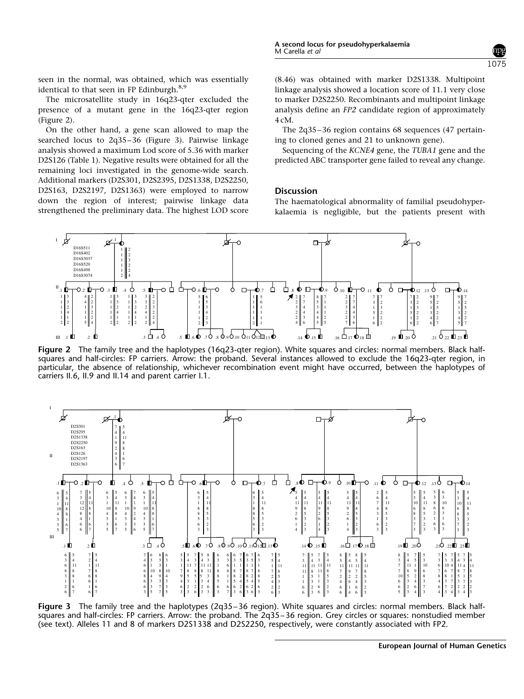seen in the normal, was obtained, which was essentially identical to that seen in FP Edinburgh.<sup>8,9</sup>

The microsatellite study in 16q23-qter excluded the presence of a mutant gene in the 16q23-qter region (Figure 2).

On the other hand, a gene scan allowed to map the searched locus to 2q35–36 (Figure 3). Pairwise linkage analysis showed a maximum Lod score of 5.36 with marker D2S126 (Table 1). Negative results were obtained for all the remaining loci investigated in the genome-wide search. Additional markers (D2S301, D2S2395, D2S1338, D2S2250, D2S163, D2S2197, D2S1363) were employed to narrow down the region of interest; pairwise linkage data strengthened the preliminary data. The highest LOD score (8.46) was obtained with marker D2S1338. Multipoint linkage analysis showed a location score of 11.1 very close to marker D2S2250. Recombinants and multipoint linkage analysis define an FP2 candidate region of approximately 4 cM.

The 2q35–36 region contains 68 sequences (47 pertaining to cloned genes and 21 to unknown gene).

Sequencing of the KCNE4 gene, the TUBA1 gene and the predicted ABC transporter gene failed to reveal any change.

### **Discussion**

The haematological abnormality of familial pseudohyperkalaemia is negligible, but the patients present with



Figure 2 The family tree and the haplotypes (16q23-qter region). White squares and circles: normal members. Black halfsquares and half-circles: FP carriers. Arrow: the proband. Several instances allowed to exclude the 16q23-qter region, in particular, the absence of relationship, whichever recombination event might have occurred, between the haplotypes of carriers II.6, II.9 and II.14 and parent carrier I.1.



Figure 3 The family tree and the haplotypes (2q35–36 region). White squares and circles: normal members. Black halfsquares and half-circles: FP carriers. Arrow: the proband. The 2q35–36 region. Grey circles or squares: nonstudied member (see text). Alleles 11 and 8 of markers D2S1338 and D2S2250, respectively, were constantly associated with FP2.